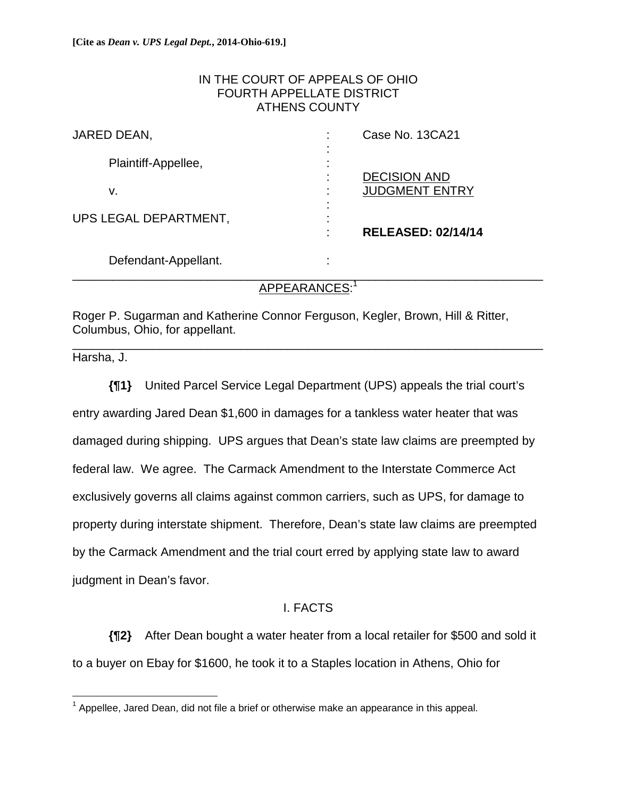## IN THE COURT OF APPEALS OF OHIO FOURTH APPELLATE DISTRICT ATHENS COUNTY

| JARED DEAN,           |                                            | Case No. 13CA21           |
|-----------------------|--------------------------------------------|---------------------------|
| Plaintiff-Appellee,   | $\blacksquare$<br>٠<br>$\blacksquare$<br>٠ | <b>DECISION AND</b>       |
| ۷.                    | $\blacksquare$<br>٠<br>$\blacksquare$<br>٠ | <b>JUDGMENT ENTRY</b>     |
| UPS LEGAL DEPARTMENT, | $\blacksquare$<br>٠<br>$\blacksquare$      | <b>RELEASED: 02/14/14</b> |
| Defendant-Appellant.  | ٠<br>$\blacksquare$                        |                           |

# APPEARANCES: 1

Roger P. Sugarman and Katherine Connor Ferguson, Kegler, Brown, Hill & Ritter, Columbus, Ohio, for appellant. \_\_\_\_\_\_\_\_\_\_\_\_\_\_\_\_\_\_\_\_\_\_\_\_\_\_\_\_\_\_\_\_\_\_\_\_\_\_\_\_\_\_\_\_\_\_\_\_\_\_\_\_\_\_\_\_\_\_\_\_\_\_\_\_\_\_\_\_\_\_

Harsha, J.

**{¶1}** United Parcel Service Legal Department (UPS) appeals the trial court's entry awarding Jared Dean \$1,600 in damages for a tankless water heater that was damaged during shipping. UPS argues that Dean's state law claims are preempted by federal law. We agree. The Carmack Amendment to the Interstate Commerce Act exclusively governs all claims against common carriers, such as UPS, for damage to property during interstate shipment. Therefore, Dean's state law claims are preempted by the Carmack Amendment and the trial court erred by applying state law to award judgment in Dean's favor.

## I. FACTS

**{¶2}** After Dean bought a water heater from a local retailer for \$500 and sold it to a buyer on Ebay for \$1600, he took it to a Staples location in Athens, Ohio for

 $\overline{a}$  $1$  Appellee, Jared Dean, did not file a brief or otherwise make an appearance in this appeal.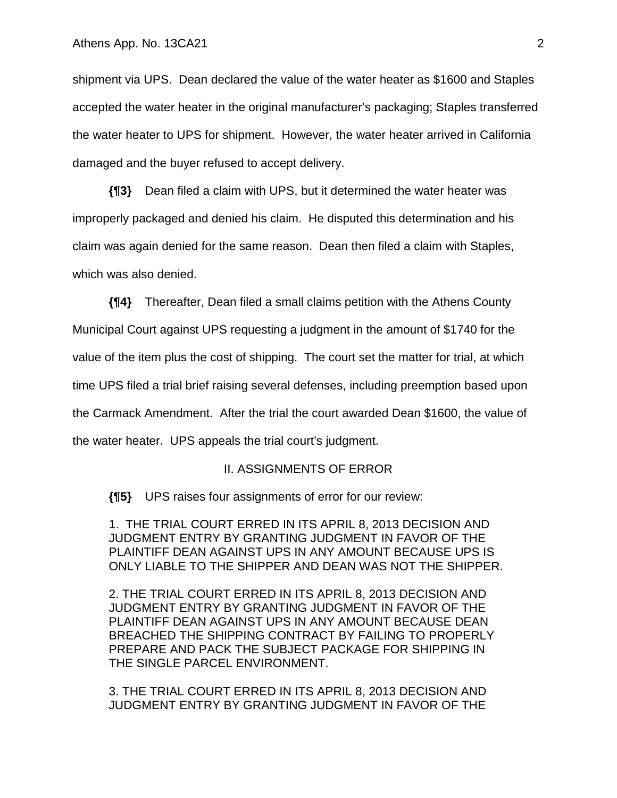shipment via UPS. Dean declared the value of the water heater as \$1600 and Staples accepted the water heater in the original manufacturer's packaging; Staples transferred the water heater to UPS for shipment. However, the water heater arrived in California damaged and the buyer refused to accept delivery.

**{¶3}** Dean filed a claim with UPS, but it determined the water heater was improperly packaged and denied his claim. He disputed this determination and his claim was again denied for the same reason. Dean then filed a claim with Staples, which was also denied.

**{¶4}** Thereafter, Dean filed a small claims petition with the Athens County

Municipal Court against UPS requesting a judgment in the amount of \$1740 for the

value of the item plus the cost of shipping. The court set the matter for trial, at which

time UPS filed a trial brief raising several defenses, including preemption based upon

the Carmack Amendment. After the trial the court awarded Dean \$1600, the value of

the water heater. UPS appeals the trial court's judgment.

#### II. ASSIGNMENTS OF ERROR

**{¶5}** UPS raises four assignments of error for our review:

1. THE TRIAL COURT ERRED IN ITS APRIL 8, 2013 DECISION AND JUDGMENT ENTRY BY GRANTING JUDGMENT IN FAVOR OF THE PLAINTIFF DEAN AGAINST UPS IN ANY AMOUNT BECAUSE UPS IS ONLY LIABLE TO THE SHIPPER AND DEAN WAS NOT THE SHIPPER.

2. THE TRIAL COURT ERRED IN ITS APRIL 8, 2013 DECISION AND JUDGMENT ENTRY BY GRANTING JUDGMENT IN FAVOR OF THE PLAINTIFF DEAN AGAINST UPS IN ANY AMOUNT BECAUSE DEAN BREACHED THE SHIPPING CONTRACT BY FAILING TO PROPERLY PREPARE AND PACK THE SUBJECT PACKAGE FOR SHIPPING IN THE SINGLE PARCEL ENVIRONMENT.

3. THE TRIAL COURT ERRED IN ITS APRIL 8, 2013 DECISION AND JUDGMENT ENTRY BY GRANTING JUDGMENT IN FAVOR OF THE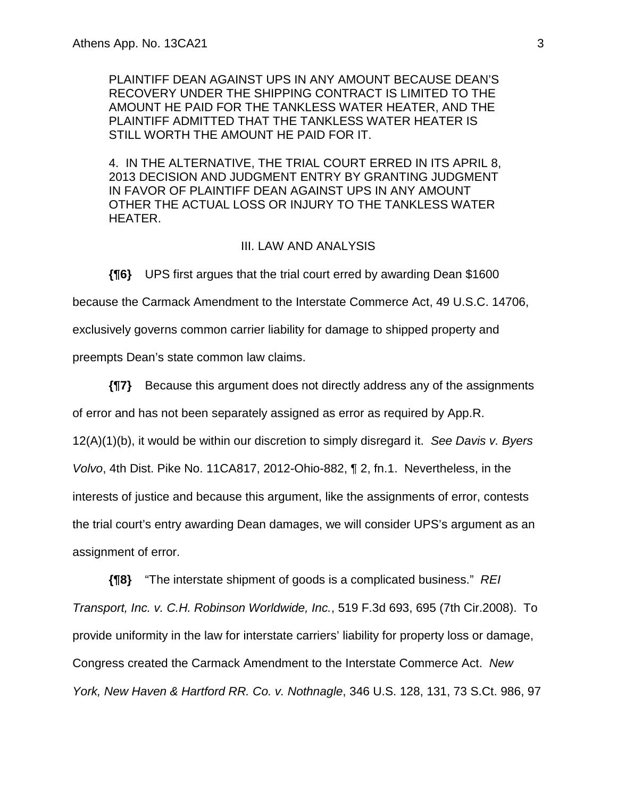PLAINTIFF DEAN AGAINST UPS IN ANY AMOUNT BECAUSE DEAN'S RECOVERY UNDER THE SHIPPING CONTRACT IS LIMITED TO THE AMOUNT HE PAID FOR THE TANKLESS WATER HEATER, AND THE PLAINTIFF ADMITTED THAT THE TANKLESS WATER HEATER IS STILL WORTH THE AMOUNT HE PAID FOR IT.

4. IN THE ALTERNATIVE, THE TRIAL COURT ERRED IN ITS APRIL 8, 2013 DECISION AND JUDGMENT ENTRY BY GRANTING JUDGMENT IN FAVOR OF PLAINTIFF DEAN AGAINST UPS IN ANY AMOUNT OTHER THE ACTUAL LOSS OR INJURY TO THE TANKLESS WATER HEATER.

#### III. LAW AND ANALYSIS

**{¶6}** UPS first argues that the trial court erred by awarding Dean \$1600 because the Carmack Amendment to the Interstate Commerce Act, 49 U.S.C. 14706, exclusively governs common carrier liability for damage to shipped property and preempts Dean's state common law claims.

**{¶7}** Because this argument does not directly address any of the assignments of error and has not been separately assigned as error as required by App.R. 12(A)(1)(b), it would be within our discretion to simply disregard it. *See Davis v. Byers Volvo*, 4th Dist. Pike No. 11CA817, 2012-Ohio-882, ¶ 2, fn.1. Nevertheless, in the interests of justice and because this argument, like the assignments of error, contests the trial court's entry awarding Dean damages, we will consider UPS's argument as an assignment of error.

**{¶8}** "The interstate shipment of goods is a complicated business." *REI Transport, Inc. v. C.H. Robinson Worldwide, Inc.*, 519 F.3d 693, 695 (7th Cir.2008). To provide uniformity in the law for interstate carriers' liability for property loss or damage, Congress created the Carmack Amendment to the Interstate Commerce Act. *New York, New Haven & Hartford RR. Co. v. Nothnagle*, 346 U.S. 128, 131, 73 S.Ct. 986, 97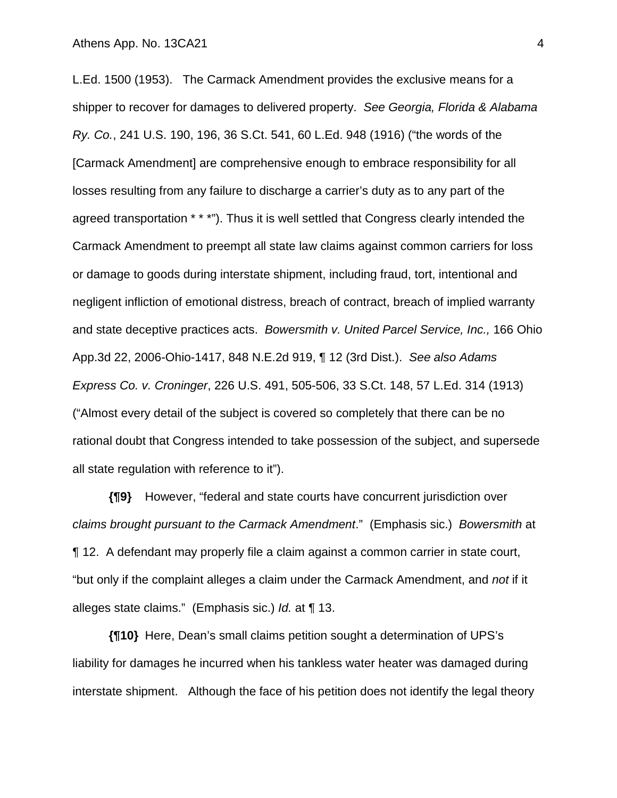L.Ed. 1500 (1953). The Carmack Amendment provides the exclusive means for a shipper to recover for damages to delivered property. *See Georgia, Florida & Alabama Ry. Co.*, 241 U.S. 190, 196, 36 S.Ct. 541, 60 L.Ed. 948 (1916) ("the words of the [Carmack Amendment] are comprehensive enough to embrace responsibility for all losses resulting from any failure to discharge a carrier's duty as to any part of the agreed transportation \* \* \*"). Thus it is well settled that Congress clearly intended the Carmack Amendment to preempt all state law claims against common carriers for loss or damage to goods during interstate shipment, including fraud, tort, intentional and negligent infliction of emotional distress, breach of contract, breach of implied warranty and state deceptive practices acts. *Bowersmith v. United Parcel Service, Inc.,* 166 Ohio App.3d 22, 2006-Ohio-1417, 848 N.E.2d 919, ¶ 12 (3rd Dist.). *See also Adams Express Co. v. Croninger*, 226 U.S. 491, 505-506, 33 S.Ct. 148, 57 L.Ed. 314 (1913) ("Almost every detail of the subject is covered so completely that there can be no rational doubt that Congress intended to take possession of the subject, and supersede all state regulation with reference to it").

**{¶9}** However, "federal and state courts have concurrent jurisdiction over *claims brought pursuant to the Carmack Amendment*." (Emphasis sic.) *Bowersmith* at ¶ 12. A defendant may properly file a claim against a common carrier in state court, "but only if the complaint alleges a claim under the Carmack Amendment, and *not* if it alleges state claims." (Emphasis sic.) *Id.* at ¶ 13.

**{¶10}** Here, Dean's small claims petition sought a determination of UPS's liability for damages he incurred when his tankless water heater was damaged during interstate shipment. Although the face of his petition does not identify the legal theory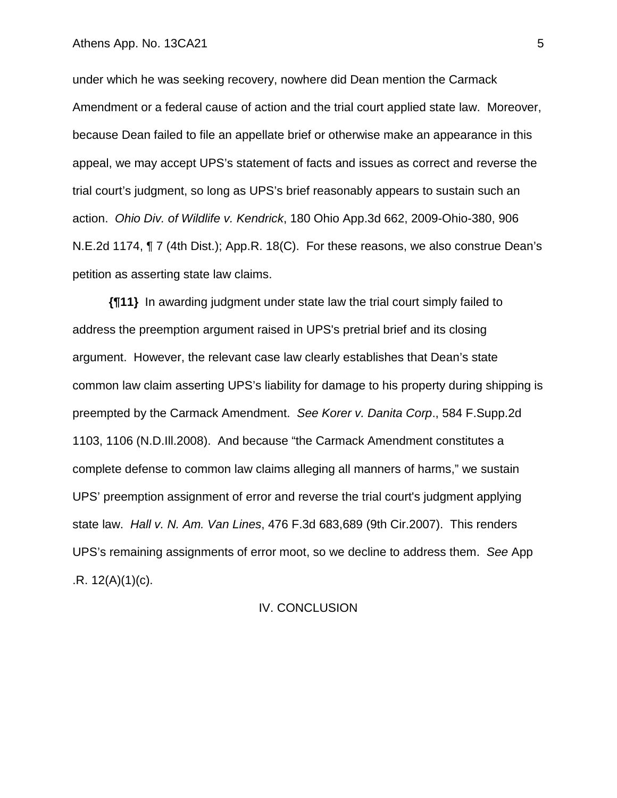under which he was seeking recovery, nowhere did Dean mention the Carmack Amendment or a federal cause of action and the trial court applied state law. Moreover, because Dean failed to file an appellate brief or otherwise make an appearance in this appeal, we may accept UPS's statement of facts and issues as correct and reverse the trial court's judgment, so long as UPS's brief reasonably appears to sustain such an action. *Ohio Div. of Wildlife v. Kendrick*, 180 Ohio App.3d 662, 2009-Ohio-380, 906 N.E.2d 1174, ¶ 7 (4th Dist.); App.R. 18(C). For these reasons, we also construe Dean's petition as asserting state law claims.

**{¶11}** In awarding judgment under state law the trial court simply failed to address the preemption argument raised in UPS's pretrial brief and its closing argument. However, the relevant case law clearly establishes that Dean's state common law claim asserting UPS's liability for damage to his property during shipping is preempted by the Carmack Amendment. *See Korer v. Danita Corp*., 584 F.Supp.2d 1103, 1106 (N.D.Ill.2008). And because "the Carmack Amendment constitutes a complete defense to common law claims alleging all manners of harms," we sustain UPS' preemption assignment of error and reverse the trial court's judgment applying state law. *Hall v. N. Am. Van Lines*, 476 F.3d 683,689 (9th Cir.2007). This renders UPS's remaining assignments of error moot, so we decline to address them. *See* App  $R. 12(A)(1)(c)$ .

#### IV. CONCLUSION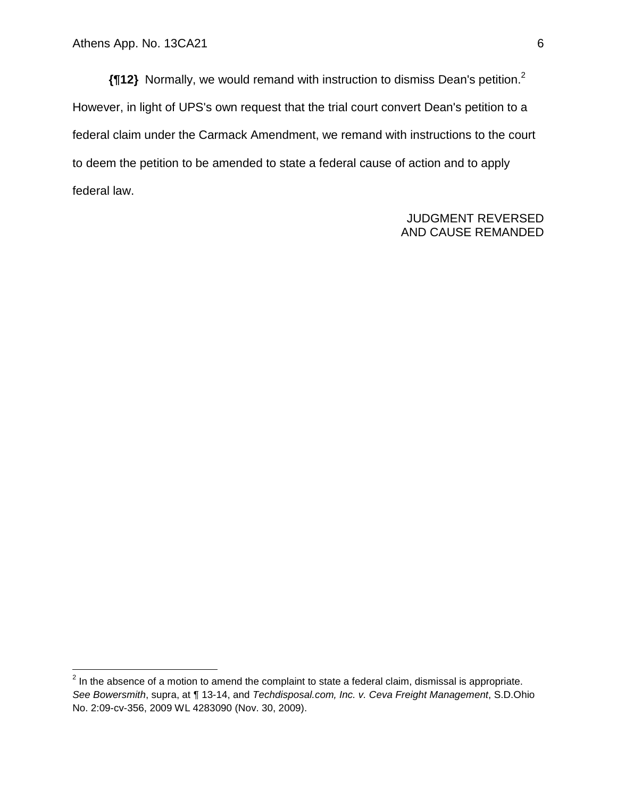1

**{¶12}** Normally, we would remand with instruction to dismiss Dean's petition.2 However, in light of UPS's own request that the trial court convert Dean's petition to a federal claim under the Carmack Amendment, we remand with instructions to the court to deem the petition to be amended to state a federal cause of action and to apply federal law.

## JUDGMENT REVERSED AND CAUSE REMANDED

 $2$  In the absence of a motion to amend the complaint to state a federal claim, dismissal is appropriate. *See Bowersmith*, supra, at ¶ 13-14, and *Techdisposal.com, Inc. v. Ceva Freight Management*, S.D.Ohio No. 2:09-cv-356, 2009 WL 4283090 (Nov. 30, 2009).